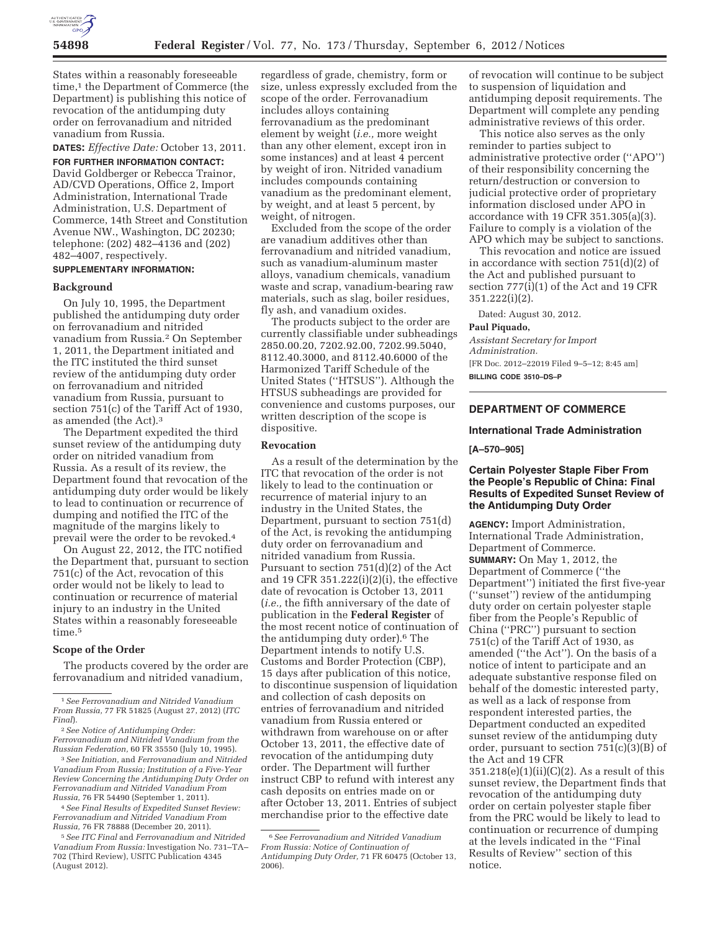

States within a reasonably foreseeable time,1 the Department of Commerce (the Department) is publishing this notice of revocation of the antidumping duty order on ferrovanadium and nitrided vanadium from Russia.

**DATES:** *Effective Date:* October 13, 2011.

**FOR FURTHER INFORMATION CONTACT:**  David Goldberger or Rebecca Trainor, AD/CVD Operations, Office 2, Import Administration, International Trade Administration, U.S. Department of Commerce, 14th Street and Constitution Avenue NW., Washington, DC 20230; telephone: (202) 482–4136 and (202) 482–4007, respectively.

## **SUPPLEMENTARY INFORMATION:**

### **Background**

On July 10, 1995, the Department published the antidumping duty order on ferrovanadium and nitrided vanadium from Russia.2 On September 1, 2011, the Department initiated and the ITC instituted the third sunset review of the antidumping duty order on ferrovanadium and nitrided vanadium from Russia, pursuant to section 751(c) of the Tariff Act of 1930, as amended (the Act).3

The Department expedited the third sunset review of the antidumping duty order on nitrided vanadium from Russia. As a result of its review, the Department found that revocation of the antidumping duty order would be likely to lead to continuation or recurrence of dumping and notified the ITC of the magnitude of the margins likely to prevail were the order to be revoked.4

On August 22, 2012, the ITC notified the Department that, pursuant to section 751(c) of the Act, revocation of this order would not be likely to lead to continuation or recurrence of material injury to an industry in the United States within a reasonably foreseeable time.5

### **Scope of the Order**

The products covered by the order are ferrovanadium and nitrided vanadium,

2*See Notice of Antidumping Order: Ferrovanadium and Nitrided Vanadium from the Russian Federation,* 60 FR 35550 (July 10, 1995).

3*See Initiation,* and *Ferrovanadium and Nitrided Vanadium From Russia; Institution of a Five-Year Review Concerning the Antidumping Duty Order on Ferrovanadium and Nitrided Vanadium From Russia,* 76 FR 54490 (September 1, 2011).

4*See Final Results of Expedited Sunset Review: Ferrovanadium and Nitrided Vanadium From Russia,* 76 FR 78888 (December 20, 2011).

5*See ITC Final* and *Ferrovanadium and Nitrided Vanadium From Russia:* Investigation No. 731–TA– 702 (Third Review), USITC Publication 4345 (August 2012).

regardless of grade, chemistry, form or size, unless expressly excluded from the scope of the order. Ferrovanadium includes alloys containing ferrovanadium as the predominant element by weight (*i.e.,* more weight than any other element, except iron in some instances) and at least 4 percent by weight of iron. Nitrided vanadium includes compounds containing vanadium as the predominant element, by weight, and at least 5 percent, by weight, of nitrogen.

Excluded from the scope of the order are vanadium additives other than ferrovanadium and nitrided vanadium, such as vanadium-aluminum master alloys, vanadium chemicals, vanadium waste and scrap, vanadium-bearing raw materials, such as slag, boiler residues, fly ash, and vanadium oxides.

The products subject to the order are currently classifiable under subheadings 2850.00.20, 7202.92.00, 7202.99.5040, 8112.40.3000, and 8112.40.6000 of the Harmonized Tariff Schedule of the United States (''HTSUS''). Although the HTSUS subheadings are provided for convenience and customs purposes, our written description of the scope is dispositive.

### **Revocation**

As a result of the determination by the ITC that revocation of the order is not likely to lead to the continuation or recurrence of material injury to an industry in the United States, the Department, pursuant to section 751(d) of the Act, is revoking the antidumping duty order on ferrovanadium and nitrided vanadium from Russia. Pursuant to section 751(d)(2) of the Act and 19 CFR 351.222(i)(2)(i), the effective date of revocation is October 13, 2011 (*i.e.,* the fifth anniversary of the date of publication in the **Federal Register** of the most recent notice of continuation of the antidumping duty order).6 The Department intends to notify U.S. Customs and Border Protection (CBP), 15 days after publication of this notice, to discontinue suspension of liquidation and collection of cash deposits on entries of ferrovanadium and nitrided vanadium from Russia entered or withdrawn from warehouse on or after October 13, 2011, the effective date of revocation of the antidumping duty order. The Department will further instruct CBP to refund with interest any cash deposits on entries made on or after October 13, 2011. Entries of subject merchandise prior to the effective date

of revocation will continue to be subject to suspension of liquidation and antidumping deposit requirements. The Department will complete any pending administrative reviews of this order.

This notice also serves as the only reminder to parties subject to administrative protective order (''APO'') of their responsibility concerning the return/destruction or conversion to judicial protective order of proprietary information disclosed under APO in accordance with 19 CFR 351.305(a)(3). Failure to comply is a violation of the APO which may be subject to sanctions.

This revocation and notice are issued in accordance with section 751(d)(2) of the Act and published pursuant to section 777(i)(1) of the Act and 19 CFR 351.222(i)(2).

Dated: August 30, 2012.

# **Paul Piquado,**

*Assistant Secretary for Import Administration.*  [FR Doc. 2012–22019 Filed 9–5–12; 8:45 am] **BILLING CODE 3510–DS–P** 

## **DEPARTMENT OF COMMERCE**

### **International Trade Administration**

**[A–570–905]** 

## **Certain Polyester Staple Fiber From the People's Republic of China: Final Results of Expedited Sunset Review of the Antidumping Duty Order**

**AGENCY:** Import Administration, International Trade Administration, Department of Commerce. **SUMMARY:** On May 1, 2012, the Department of Commerce (''the Department'') initiated the first five-year (''sunset'') review of the antidumping duty order on certain polyester staple fiber from the People's Republic of China (''PRC'') pursuant to section  $751(c)$  of the Tariff Act of 1930, as amended (''the Act''). On the basis of a notice of intent to participate and an adequate substantive response filed on behalf of the domestic interested party, as well as a lack of response from respondent interested parties, the Department conducted an expedited sunset review of the antidumping duty order, pursuant to section 751(c)(3)(B) of the Act and 19 CFR 351.218(e)(1)(ii)(C)(2). As a result of this sunset review, the Department finds that revocation of the antidumping duty order on certain polyester staple fiber from the PRC would be likely to lead to continuation or recurrence of dumping at the levels indicated in the ''Final

Results of Review'' section of this notice.

<sup>1</sup>*See Ferrovanadium and Nitrided Vanadium From Russia,* 77 FR 51825 (August 27, 2012) (*ITC Final*).

<sup>6</sup>*See Ferrovanadium and Nitrided Vanadium From Russia: Notice of Continuation of Antidumping Duty Order,* 71 FR 60475 (October 13, 2006).